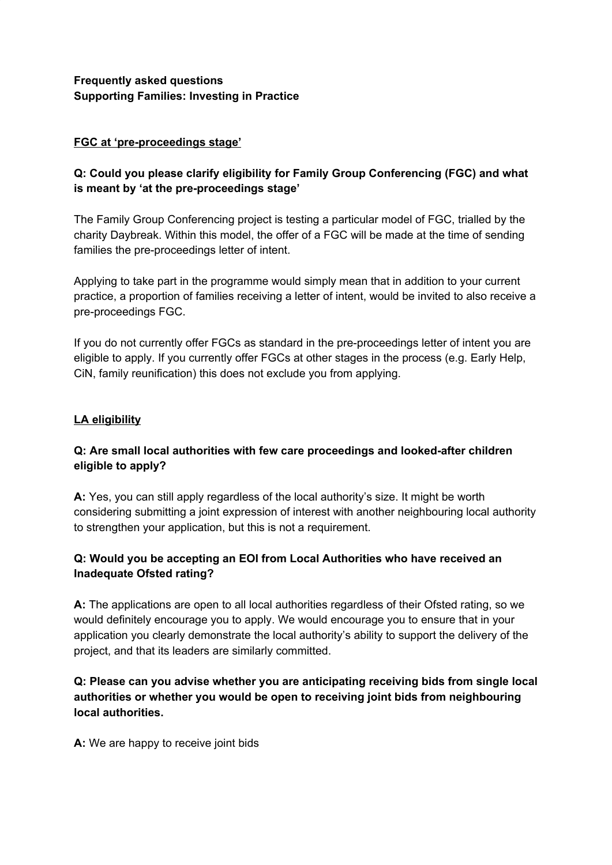## **Frequently asked questions Supporting Families: Investing in Practice**

### **FGC at 'pre-proceedings stage'**

## **Q: Could you please clarify eligibility for Family Group Conferencing (FGC) and what is meant by 'at the pre-proceedings stage'**

The Family Group Conferencing project is testing a particular model of FGC, trialled by the charity Daybreak. Within this model, the offer of a FGC will be made at the time of sending families the pre-proceedings letter of intent.

Applying to take part in the programme would simply mean that in addition to your current practice, a proportion of families receiving a letter of intent, would be invited to also receive a pre-proceedings FGC.

If you do not currently offer FGCs as standard in the pre-proceedings letter of intent you are eligible to apply. If you currently offer FGCs at other stages in the process (e.g. Early Help, CiN, family reunification) this does not exclude you from applying.

## **LA eligibility**

## **Q: Are small local authorities with few care proceedings and looked-after children eligible to apply?**

**A:** Yes, you can still apply regardless of the local authority's size. It might be worth considering submitting a joint expression of interest with another neighbouring local authority to strengthen your application, but this is not a requirement.

## **Q: Would you be accepting an EOI from Local Authorities who have received an Inadequate Ofsted rating?**

**A:** The applications are open to all local authorities regardless of their Ofsted rating, so we would definitely encourage you to apply. We would encourage you to ensure that in your application you clearly demonstrate the local authority's ability to support the delivery of the project, and that its leaders are similarly committed.

## **Q: Please can you advise whether you are anticipating receiving bids from single local authorities or whether you would be open to receiving joint bids from neighbouring local authorities.**

**A:** We are happy to receive joint bids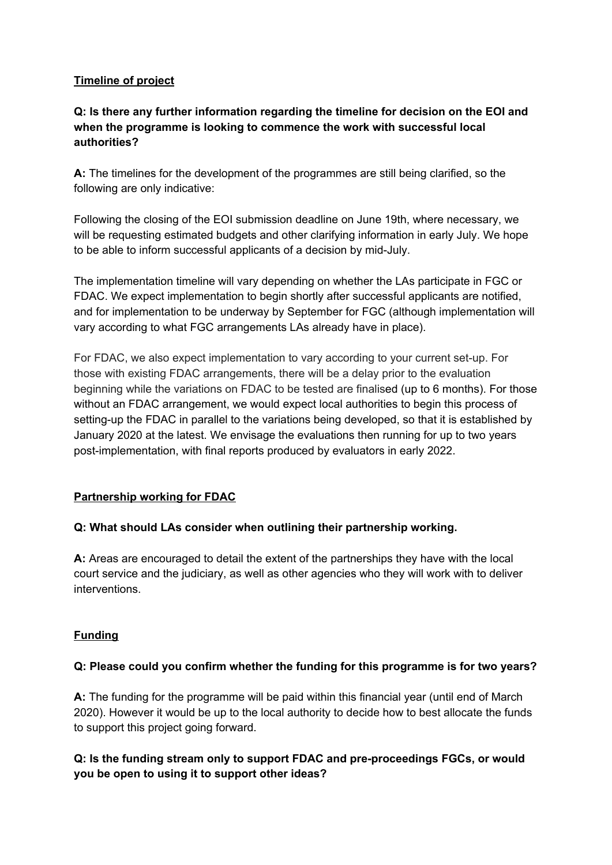### **Timeline of project**

## **Q: Is there any further information regarding the timeline for decision on the EOI and when the programme is looking to commence the work with successful local authorities?**

**A:** The timelines for the development of the programmes are still being clarified, so the following are only indicative:

Following the closing of the EOI submission deadline on June 19th, where necessary, we will be requesting estimated budgets and other clarifying information in early July. We hope to be able to inform successful applicants of a decision by mid-July.

The implementation timeline will vary depending on whether the LAs participate in FGC or FDAC. We expect implementation to begin shortly after successful applicants are notified, and for implementation to be underway by September for FGC (although implementation will vary according to what FGC arrangements LAs already have in place).

For FDAC, we also expect implementation to vary according to your current set-up. For those with existing FDAC arrangements, there will be a delay prior to the evaluation beginning while the variations on FDAC to be tested are finalised (up to 6 months). For those without an FDAC arrangement, we would expect local authorities to begin this process of setting-up the FDAC in parallel to the variations being developed, so that it is established by January 2020 at the latest. We envisage the evaluations then running for up to two years post-implementation, with final reports produced by evaluators in early 2022.

### **Partnership working for FDAC**

### **Q: What should LAs consider when outlining their partnership working.**

**A:** Areas are encouraged to detail the extent of the partnerships they have with the local court service and the judiciary, as well as other agencies who they will work with to deliver interventions.

### **Funding**

### **Q: Please could you confirm whether the funding for this programme is for two years?**

**A:** The funding for the programme will be paid within this financial year (until end of March 2020). However it would be up to the local authority to decide how to best allocate the funds to support this project going forward.

## **Q: Is the funding stream only to support FDAC and pre-proceedings FGCs, or would you be open to using it to support other ideas?**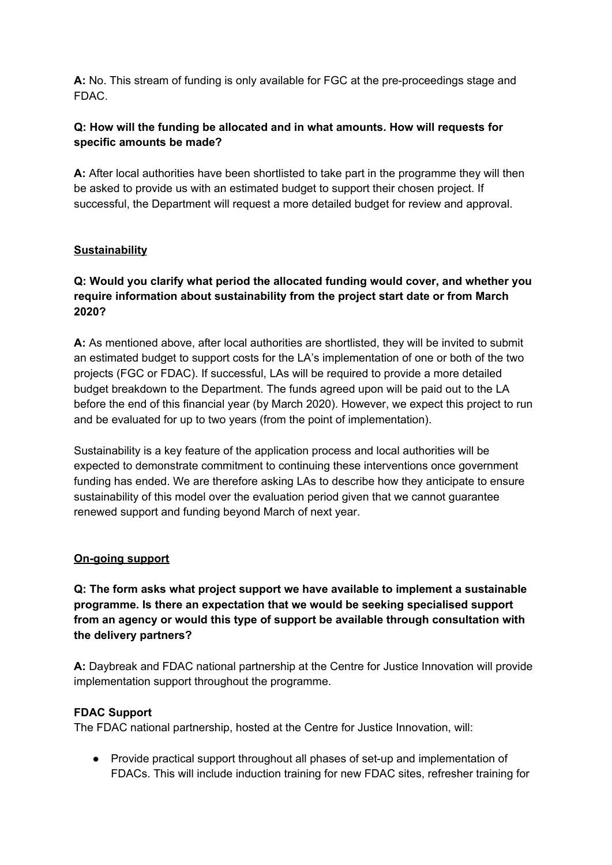**A:** No. This stream of funding is only available for FGC at the pre-proceedings stage and FDAC.

## **Q: How will the funding be allocated and in what amounts. How will requests for specific amounts be made?**

**A:** After local authorities have been shortlisted to take part in the programme they will then be asked to provide us with an estimated budget to support their chosen project. If successful, the Department will request a more detailed budget for review and approval.

## **Sustainability**

## **Q: Would you clarify what period the allocated funding would cover, and whether you require information about sustainability from the project start date or from March 2020?**

**A:** As mentioned above, after local authorities are shortlisted, they will be invited to submit an estimated budget to support costs for the LA's implementation of one or both of the two projects (FGC or FDAC). If successful, LAs will be required to provide a more detailed budget breakdown to the Department. The funds agreed upon will be paid out to the LA before the end of this financial year (by March 2020). However, we expect this project to run and be evaluated for up to two years (from the point of implementation).

Sustainability is a key feature of the application process and local authorities will be expected to demonstrate commitment to continuing these interventions once government funding has ended. We are therefore asking LAs to describe how they anticipate to ensure sustainability of this model over the evaluation period given that we cannot guarantee renewed support and funding beyond March of next year.

### **On-going support**

**Q: The form asks what project support we have available to implement a sustainable programme. Is there an expectation that we would be seeking specialised support from an agency or would this type of support be available through consultation with the delivery partners?**

**A:** Daybreak and FDAC national partnership at the Centre for Justice Innovation will provide implementation support throughout the programme.

### **FDAC Support**

The FDAC national partnership, hosted at the Centre for Justice Innovation, will:

● Provide practical support throughout all phases of set-up and implementation of FDACs. This will include induction training for new FDAC sites, refresher training for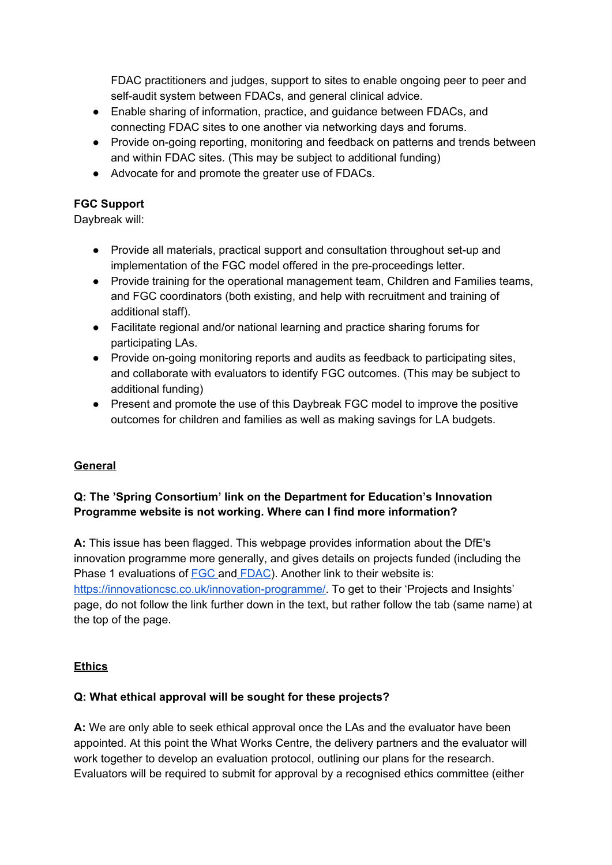FDAC practitioners and judges, support to sites to enable ongoing peer to peer and self-audit system between FDACs, and general clinical advice.

- Enable sharing of information, practice, and guidance between FDACs, and connecting FDAC sites to one another via networking days and forums.
- Provide on-going reporting, monitoring and feedback on patterns and trends between and within FDAC sites. (This may be subject to additional funding)
- Advocate for and promote the greater use of FDACs.

# **FGC Support**

Daybreak will:

- Provide all materials, practical support and consultation throughout set-up and implementation of the FGC model offered in the pre-proceedings letter.
- Provide training for the operational management team, Children and Families teams, and FGC coordinators (both existing, and help with recruitment and training of additional staff).
- Facilitate regional and/or national learning and practice sharing forums for participating LAs.
- Provide on-going monitoring reports and audits as feedback to participating sites, and collaborate with evaluators to identify FGC outcomes. (This may be subject to additional funding)
- Present and promote the use of this Daybreak FGC model to improve the positive outcomes for children and families as well as making savings for LA budgets.

# **General**

# **Q: The 'Spring Consortium' link on the Department for Education's Innovation Programme website is not working. Where can I find more information?**

**A:** This issue has been flagged. This webpage provides information about the DfE's innovation programme more generally, and gives details on projects funded (including the Phase 1 evaluations of **[FGC](https://innovationcsc.co.uk/projects/family-group-conferencing/)** and **[FDAC](https://innovationcsc.co.uk/projects/family-drug-and-alcohol-court-fdac/)**). Another link to their website is: [https://innovationcsc.co.uk/innovation-programme/.](https://innovationcsc.co.uk/innovation-programme/) To get to their 'Projects and Insights' page, do not follow the link further down in the text, but rather follow the tab (same name) at the top of the page.

### **Ethics**

# **Q: What ethical approval will be sought for these projects?**

**A:** We are only able to seek ethical approval once the LAs and the evaluator have been appointed. At this point the What Works Centre, the delivery partners and the evaluator will work together to develop an evaluation protocol, outlining our plans for the research. Evaluators will be required to submit for approval by a recognised ethics committee (either